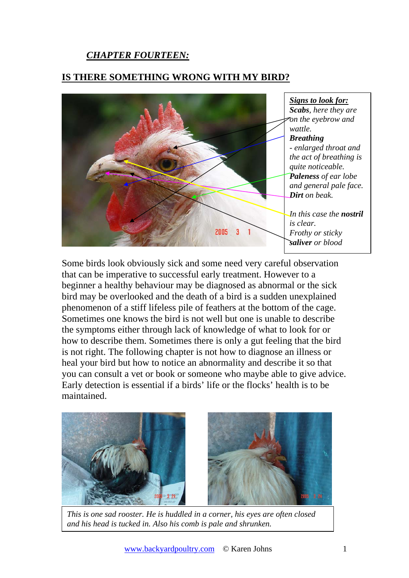## *CHAPTER FOURTEEN:*

## **IS THERE SOMETHING WRONG WITH MY BIRD?**



Some birds look obviously sick and some need very careful observation that can be imperative to successful early treatment. However to a beginner a healthy behaviour may be diagnosed as abnormal or the sick bird may be overlooked and the death of a bird is a sudden unexplained phenomenon of a stiff lifeless pile of feathers at the bottom of the cage. Sometimes one knows the bird is not well but one is unable to describe the symptoms either through lack of knowledge of what to look for or how to describe them. Sometimes there is only a gut feeling that the bird is not right. The following chapter is not how to diagnose an illness or heal your bird but how to notice an abnormality and describe it so that you can consult a vet or book or someone who maybe able to give advice. Early detection is essential if a birds' life or the flocks' health is to be maintained.



*This is one sad rooster. He is huddled in a corner, his eyes are often closed and his head is tucked in. Also his comb is pale and shrunken.*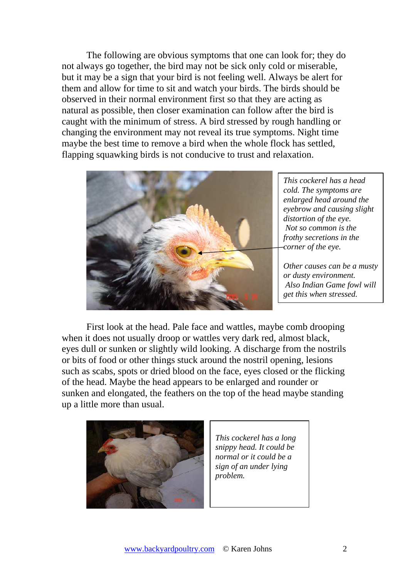The following are obvious symptoms that one can look for; they do not always go together, the bird may not be sick only cold or miserable, but it may be a sign that your bird is not feeling well. Always be alert for them and allow for time to sit and watch your birds. The birds should be observed in their normal environment first so that they are acting as natural as possible, then closer examination can follow after the bird is caught with the minimum of stress. A bird stressed by rough handling or changing the environment may not reveal its true symptoms. Night time maybe the best time to remove a bird when the whole flock has settled, flapping squawking birds is not conducive to trust and relaxation.



*This cockerel has a head cold. The symptoms are enlarged head around the eyebrow and causing slight distortion of the eye. Not so common is the frothy secretions in the corner of the eye.* 

*Other causes can be a musty or dusty environment. Also Indian Game fowl will get this when stressed.* 

First look at the head. Pale face and wattles, maybe comb drooping when it does not usually droop or wattles very dark red, almost black, eyes dull or sunken or slightly wild looking. A discharge from the nostrils or bits of food or other things stuck around the nostril opening, lesions such as scabs, spots or dried blood on the face, eyes closed or the flicking of the head. Maybe the head appears to be enlarged and rounder or sunken and elongated, the feathers on the top of the head maybe standing up a little more than usual.



*This cockerel has a long snippy head. It could be normal or it could be a sign of an under lying problem.*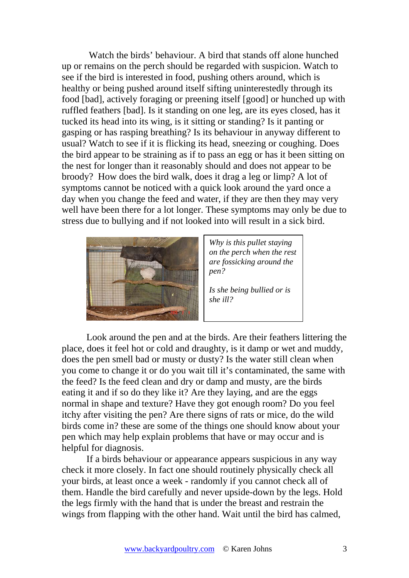Watch the birds' behaviour. A bird that stands off alone hunched up or remains on the perch should be regarded with suspicion. Watch to see if the bird is interested in food, pushing others around, which is healthy or being pushed around itself sifting uninterestedly through its food [bad], actively foraging or preening itself [good] or hunched up with ruffled feathers [bad]. Is it standing on one leg, are its eyes closed, has it tucked its head into its wing, is it sitting or standing? Is it panting or gasping or has rasping breathing? Is its behaviour in anyway different to usual? Watch to see if it is flicking its head, sneezing or coughing. Does the bird appear to be straining as if to pass an egg or has it been sitting on the nest for longer than it reasonably should and does not appear to be broody? How does the bird walk, does it drag a leg or limp? A lot of symptoms cannot be noticed with a quick look around the yard once a day when you change the feed and water, if they are then they may very well have been there for a lot longer. These symptoms may only be due to stress due to bullying and if not looked into will result in a sick bird.



*Why is this pullet staying on the perch when the rest are fossicking around the pen?* 

*Is she being bullied or is she ill?* 

Look around the pen and at the birds. Are their feathers littering the place, does it feel hot or cold and draughty, is it damp or wet and muddy, does the pen smell bad or musty or dusty? Is the water still clean when you come to change it or do you wait till it's contaminated, the same with the feed? Is the feed clean and dry or damp and musty, are the birds eating it and if so do they like it? Are they laying, and are the eggs normal in shape and texture? Have they got enough room? Do you feel itchy after visiting the pen? Are there signs of rats or mice, do the wild birds come in? these are some of the things one should know about your pen which may help explain problems that have or may occur and is helpful for diagnosis.

If a birds behaviour or appearance appears suspicious in any way check it more closely. In fact one should routinely physically check all your birds, at least once a week - randomly if you cannot check all of them. Handle the bird carefully and never upside-down by the legs. Hold the legs firmly with the hand that is under the breast and restrain the wings from flapping with the other hand. Wait until the bird has calmed,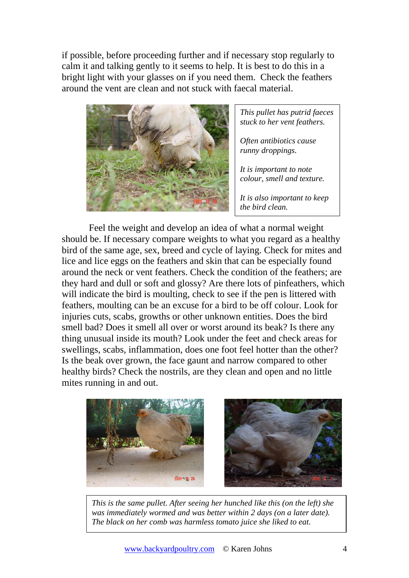if possible, before proceeding further and if necessary stop regularly to calm it and talking gently to it seems to help. It is best to do this in a bright light with your glasses on if you need them. Check the feathers around the vent are clean and not stuck with faecal material.



*This pullet has putrid faeces stuck to her vent feathers.* 

*Often antibiotics cause runny droppings.* 

*It is important to note colour, smell and texture.* 

*It is also important to keep the bird clean.* 

 Feel the weight and develop an idea of what a normal weight should be. If necessary compare weights to what you regard as a healthy bird of the same age, sex, breed and cycle of laying. Check for mites and lice and lice eggs on the feathers and skin that can be especially found around the neck or vent feathers. Check the condition of the feathers; are they hard and dull or soft and glossy? Are there lots of pinfeathers, which will indicate the bird is moulting, check to see if the pen is littered with feathers, moulting can be an excuse for a bird to be off colour. Look for injuries cuts, scabs, growths or other unknown entities. Does the bird smell bad? Does it smell all over or worst around its beak? Is there any thing unusual inside its mouth? Look under the feet and check areas for swellings, scabs, inflammation, does one foot feel hotter than the other? Is the beak over grown, the face gaunt and narrow compared to other healthy birds? Check the nostrils, are they clean and open and no little mites running in and out.



*This is the same pullet. After seeing her hunched like this (on the left) she was immediately wormed and was better within 2 days (on a later date). The black on her comb was harmless tomato juice she liked to eat.*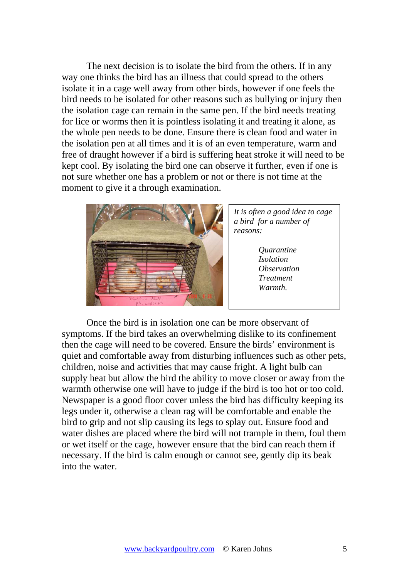The next decision is to isolate the bird from the others. If in any way one thinks the bird has an illness that could spread to the others isolate it in a cage well away from other birds, however if one feels the bird needs to be isolated for other reasons such as bullying or injury then the isolation cage can remain in the same pen. If the bird needs treating for lice or worms then it is pointless isolating it and treating it alone, as the whole pen needs to be done. Ensure there is clean food and water in the isolation pen at all times and it is of an even temperature, warm and free of draught however if a bird is suffering heat stroke it will need to be kept cool. By isolating the bird one can observe it further, even if one is not sure whether one has a problem or not or there is not time at the moment to give it a through examination.



*It is often a good idea to cage a bird for a number of reasons:* 

> *Quarantine Isolation Observation Treatment Warmth.*

Once the bird is in isolation one can be more observant of symptoms. If the bird takes an overwhelming dislike to its confinement then the cage will need to be covered. Ensure the birds' environment is quiet and comfortable away from disturbing influences such as other pets, children, noise and activities that may cause fright. A light bulb can supply heat but allow the bird the ability to move closer or away from the warmth otherwise one will have to judge if the bird is too hot or too cold. Newspaper is a good floor cover unless the bird has difficulty keeping its legs under it, otherwise a clean rag will be comfortable and enable the bird to grip and not slip causing its legs to splay out. Ensure food and water dishes are placed where the bird will not trample in them, foul them or wet itself or the cage, however ensure that the bird can reach them if necessary. If the bird is calm enough or cannot see, gently dip its beak into the water.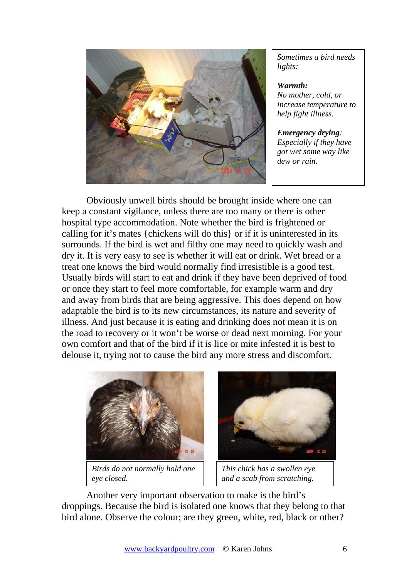

*Sometimes a bird needs lights:* 

*Warmth: No mother, cold, or increase temperature to help fight illness.* 

*Emergency drying: Especially if they have got wet some way like dew or rain.* 

Obviously unwell birds should be brought inside where one can keep a constant vigilance, unless there are too many or there is other hospital type accommodation. Note whether the bird is frightened or calling for it's mates {chickens will do this} or if it is uninterested in its surrounds. If the bird is wet and filthy one may need to quickly wash and dry it. It is very easy to see is whether it will eat or drink. Wet bread or a treat one knows the bird would normally find irresistible is a good test. Usually birds will start to eat and drink if they have been deprived of food or once they start to feel more comfortable, for example warm and dry and away from birds that are being aggressive. This does depend on how adaptable the bird is to its new circumstances, its nature and severity of illness. And just because it is eating and drinking does not mean it is on the road to recovery or it won't be worse or dead next morning. For your own comfort and that of the bird if it is lice or mite infested it is best to delouse it, trying not to cause the bird any more stress and discomfort.



*Birds do not normally hold one eye closed.* 



*This chick has a swollen eye and a scab from scratching*.

Another very important observation to make is the bird's droppings. Because the bird is isolated one knows that they belong to that bird alone. Observe the colour; are they green, white, red, black or other?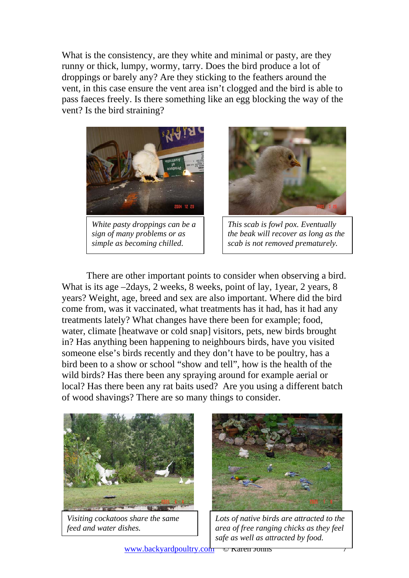What is the consistency, are they white and minimal or pasty, are they runny or thick, lumpy, wormy, tarry. Does the bird produce a lot of droppings or barely any? Are they sticking to the feathers around the vent, in this case ensure the vent area isn't clogged and the bird is able to pass faeces freely. Is there something like an egg blocking the way of the vent? Is the bird straining?



*White pasty droppings can be a sign of many problems or as simple as becoming chilled*.



*This scab is fowl pox. Eventually the beak will recover as long as the scab is not removed prematurely.* 

There are other important points to consider when observing a bird. What is its age –2days, 2 weeks, 8 weeks, point of lay, 1 year, 2 years, 8 years? Weight, age, breed and sex are also important. Where did the bird come from, was it vaccinated, what treatments has it had, has it had any treatments lately? What changes have there been for example; food, water, climate [heatwave or cold snap] visitors, pets, new birds brought in? Has anything been happening to neighbours birds, have you visited someone else's birds recently and they don't have to be poultry, has a bird been to a show or school "show and tell", how is the health of the wild birds? Has there been any spraying around for example aerial or local? Has there been any rat baits used? Are you using a different batch of wood shavings? There are so many things to consider.



*Visiting cockatoos share the same feed and water dishes.* 



*Lots of native birds are attracted to the area of free ranging chicks as they feel safe as well as attracted by food.*